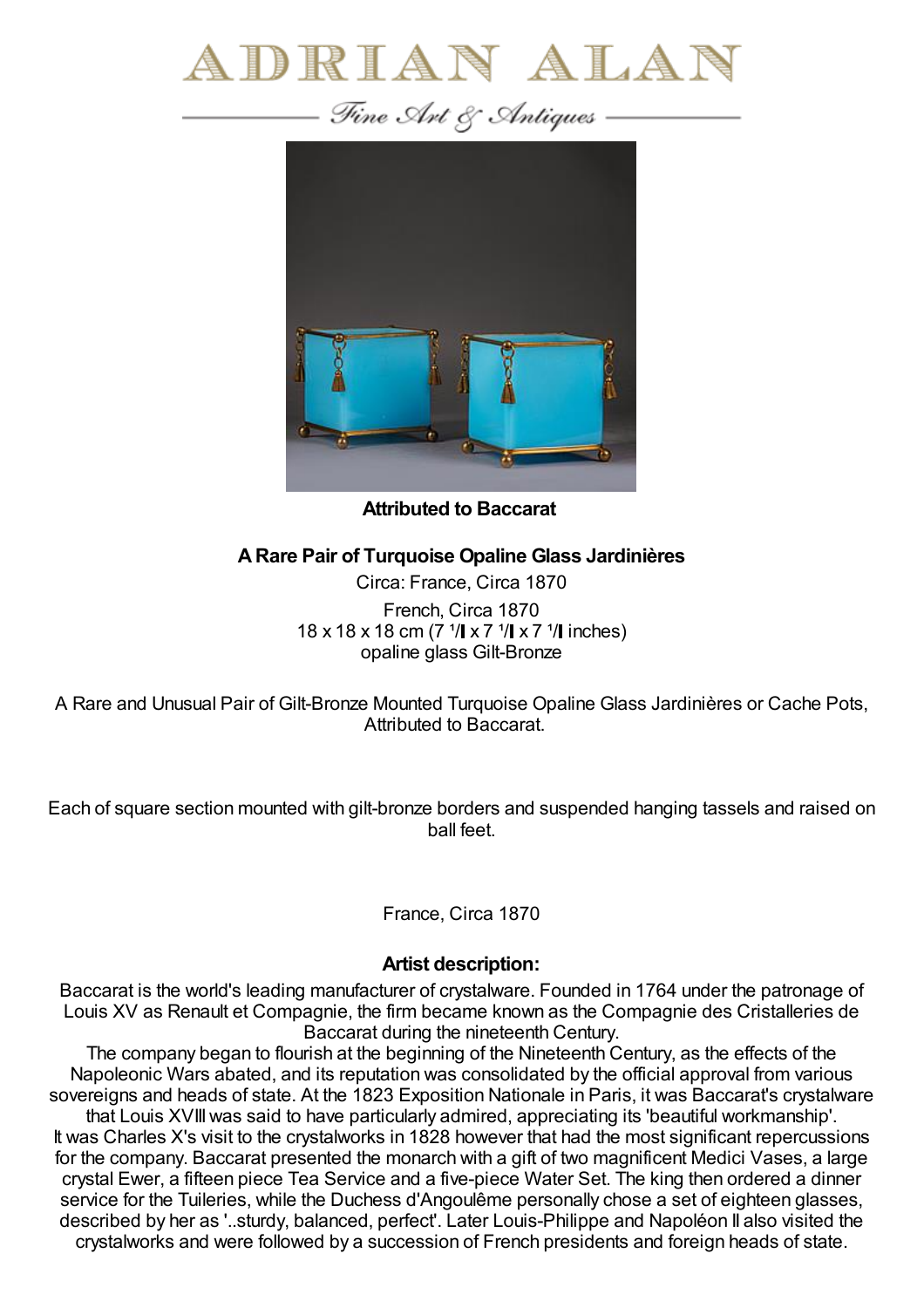



**Attributed to Baccarat**

## **ARare Pair of Turquoise Opaline Glass Jardinières**

Circa: France, Circa 1870 French, Circa 1870 18 x 18 x 18 cm (7  $\frac{1}{1}$  x 7  $\frac{1}{1}$  x 7  $\frac{1}{1}$  inches) opaline glass Gilt-Bronze

A Rare and Unusual Pair of Gilt-Bronze Mounted Turquoise Opaline Glass Jardinières or Cache Pots, Attributed to Baccarat.

Each of square section mounted with gilt-bronze borders and suspended hanging tassels and raised on ball feet.

France, Circa 1870

## **Artist description:**

Baccarat is the world's leading manufacturer of crystalware. Founded in 1764 under the patronage of Louis XV as Renault et Compagnie, the firm became known as the Compagnie des Cristalleries de Baccarat during the nineteenth Century.

The company began to flourish at the beginning of the Nineteenth Century, as the effects of the Napoleonic Wars abated, and its reputation was consolidated by the official approval from various sovereigns and heads of state. At the 1823 Exposition Nationale in Paris, it was Baccarat's crystalware that Louis XVIIIwas said to have particularly admired, appreciating its 'beautiful workmanship'. It was Charles X's visit to the crystalworks in 1828 however that had the most significant repercussions for the company. Baccarat presented the monarch with a gift of two magnificent Medici Vases, a large crystal Ewer, a fifteen piece Tea Service and a five-piece Water Set. The king then ordered a dinner service for the Tuileries, while the Duchess d'Angoulême personally chose a set of eighteen glasses, described by her as '..sturdy, balanced, perfect'. Later Louis-Philippe and Napoléon II also visited the crystalworks and were followed by a succession of French presidents and foreign heads of state.